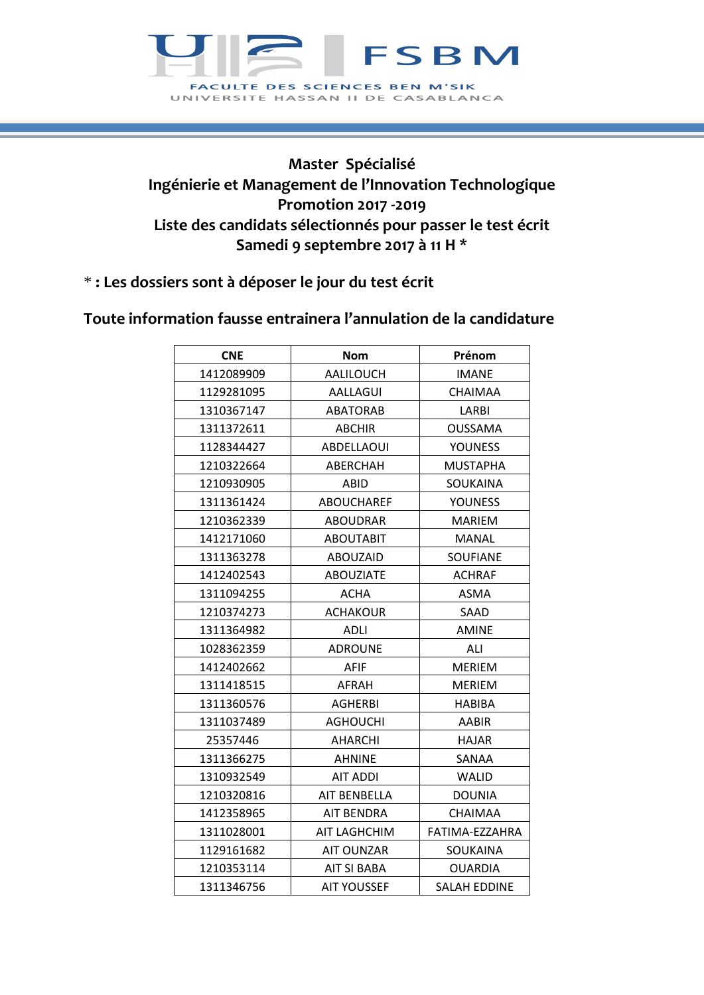

## **Master Spécialisé Ingénierie et Management de l'Innovation Technologique Promotion 2017 -2019 Liste des candidats sélectionnés pour passer le test écrit Samedi 9 septembre 2017 à 11 H \***

\* **: Les dossiers sont à déposer le jour du test écrit**

## **Toute information fausse entrainera l'annulation de la candidature**

| <b>CNE</b> | <b>Nom</b>          | Prénom              |
|------------|---------------------|---------------------|
| 1412089909 | AALILOUCH           | <b>IMANE</b>        |
| 1129281095 | <b>AALLAGUI</b>     | CHAIMAA             |
| 1310367147 | <b>ABATORAB</b>     | LARBI               |
| 1311372611 | <b>ABCHIR</b>       | <b>OUSSAMA</b>      |
| 1128344427 | <b>ABDELLAOUI</b>   | <b>YOUNESS</b>      |
| 1210322664 | ABERCHAH            | <b>MUSTAPHA</b>     |
| 1210930905 | ABID                | SOUKAINA            |
| 1311361424 | <b>ABOUCHAREF</b>   | <b>YOUNESS</b>      |
| 1210362339 | <b>ABOUDRAR</b>     | <b>MARIEM</b>       |
| 1412171060 | <b>ABOUTABIT</b>    | <b>MANAL</b>        |
| 1311363278 | <b>ABOUZAID</b>     | SOUFIANE            |
| 1412402543 | <b>ABOUZIATE</b>    | <b>ACHRAF</b>       |
| 1311094255 | <b>ACHA</b>         | ASMA                |
| 1210374273 | <b>ACHAKOUR</b>     | SAAD                |
| 1311364982 | ADLI                | <b>AMINE</b>        |
| 1028362359 | <b>ADROUNE</b>      | ALI                 |
| 1412402662 | AFIF                | <b>MERIEM</b>       |
| 1311418515 | AFRAH               | <b>MERIEM</b>       |
| 1311360576 | AGHERBI             | HABIBA              |
| 1311037489 | <b>AGHOUCHI</b>     | <b>AABIR</b>        |
| 25357446   | <b>AHARCHI</b>      | <b>HAJAR</b>        |
| 1311366275 | <b>AHNINE</b>       | SANAA               |
| 1310932549 | <b>AIT ADDI</b>     | <b>WALID</b>        |
| 1210320816 | AIT BENBELLA        | <b>DOUNIA</b>       |
| 1412358965 | AIT BENDRA          | CHAIMAA             |
| 1311028001 | <b>AIT LAGHCHIM</b> | FATIMA-EZZAHRA      |
| 1129161682 | <b>AIT OUNZAR</b>   | SOUKAINA            |
| 1210353114 | AIT SI BABA         | <b>OUARDIA</b>      |
| 1311346756 | <b>AIT YOUSSEF</b>  | <b>SALAH EDDINE</b> |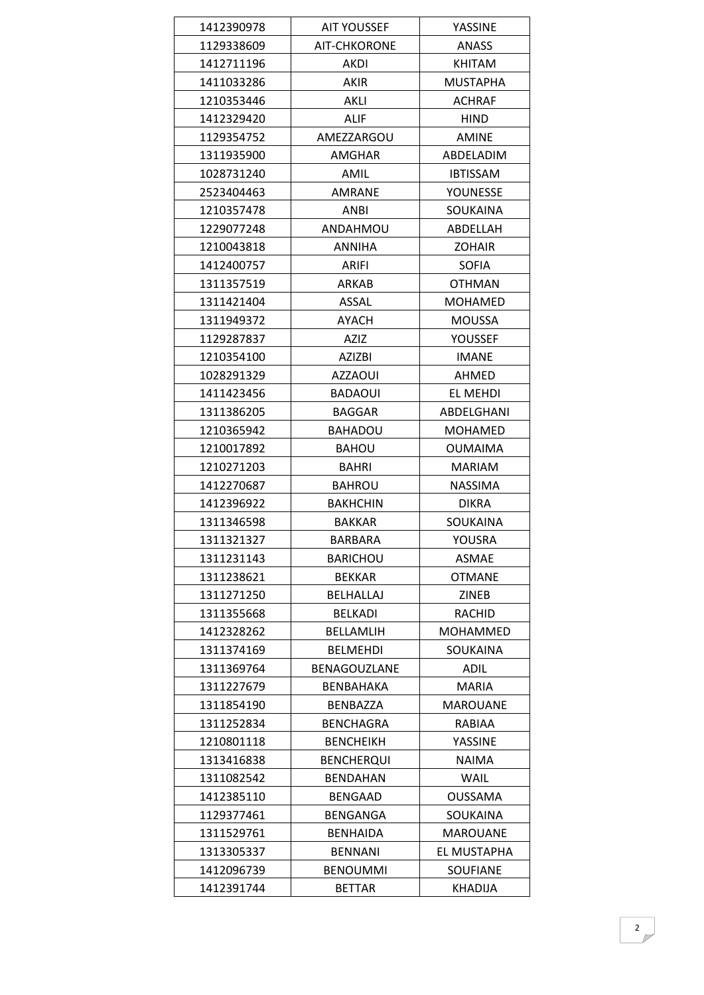| 1412390978 | <b>AIT YOUSSEF</b>  | YASSINE         |
|------------|---------------------|-----------------|
| 1129338609 | AIT-CHKORONE        | ANASS           |
| 1412711196 | <b>AKDI</b>         | <b>KHITAM</b>   |
| 1411033286 | AKIR                | <b>MUSTAPHA</b> |
| 1210353446 | <b>AKLI</b>         | <b>ACHRAF</b>   |
| 1412329420 | <b>ALIF</b>         | <b>HIND</b>     |
| 1129354752 | AMEZZARGOU          | <b>AMINE</b>    |
| 1311935900 | AMGHAR              | ABDELADIM       |
| 1028731240 | AMIL                | <b>IBTISSAM</b> |
| 2523404463 | AMRANE              | YOUNESSE        |
| 1210357478 | ANBI                | <b>SOUKAINA</b> |
| 1229077248 | ANDAHMOU            | ABDELLAH        |
| 1210043818 | <b>ANNIHA</b>       | <b>ZOHAIR</b>   |
| 1412400757 | <b>ARIFI</b>        | <b>SOFIA</b>    |
| 1311357519 | ARKAB               | <b>OTHMAN</b>   |
| 1311421404 | <b>ASSAL</b>        | <b>MOHAMED</b>  |
| 1311949372 | AYACH               | <b>MOUSSA</b>   |
| 1129287837 | <b>AZIZ</b>         | <b>YOUSSEF</b>  |
| 1210354100 | AZIZBI              | <b>IMANE</b>    |
| 1028291329 | <b>AZZAOUI</b>      | AHMED           |
| 1411423456 | <b>BADAOUI</b>      | EL MEHDI        |
| 1311386205 | <b>BAGGAR</b>       | ABDELGHANI      |
| 1210365942 | <b>BAHADOU</b>      | <b>MOHAMED</b>  |
| 1210017892 | <b>BAHOU</b>        | <b>OUMAIMA</b>  |
| 1210271203 | BAHRI               | <b>MARIAM</b>   |
| 1412270687 | <b>BAHROU</b>       | <b>NASSIMA</b>  |
| 1412396922 | <b>BAKHCHIN</b>     | <b>DIKRA</b>    |
| 1311346598 | <b>BAKKAR</b>       | SOUKAINA        |
| 1311321327 | <b>BARBARA</b>      | <b>YOUSRA</b>   |
| 1311231143 | <b>BARICHOU</b>     | <b>ASMAE</b>    |
| 1311238621 | <b>BEKKAR</b>       | <b>OTMANE</b>   |
| 1311271250 | BELHALLAJ           | ZINEB           |
| 1311355668 | <b>BELKADI</b>      | RACHID          |
| 1412328262 | <b>BELLAMLIH</b>    | <b>MOHAMMED</b> |
| 1311374169 | <b>BELMEHDI</b>     | SOUKAINA        |
| 1311369764 | <b>BENAGOUZLANE</b> | ADIL            |
| 1311227679 | BENBAHAKA           | MARIA           |
| 1311854190 | BENBAZZA            | <b>MAROUANE</b> |
| 1311252834 | <b>BENCHAGRA</b>    | RABIAA          |
| 1210801118 | <b>BENCHEIKH</b>    | YASSINE         |
| 1313416838 | <b>BENCHERQUI</b>   | <b>NAIMA</b>    |
| 1311082542 | <b>BENDAHAN</b>     | WAIL            |
| 1412385110 | <b>BENGAAD</b>      | <b>OUSSAMA</b>  |
| 1129377461 | BENGANGA            | SOUKAINA        |
| 1311529761 | <b>BENHAIDA</b>     | <b>MAROUANE</b> |
| 1313305337 | <b>BENNANI</b>      | EL MUSTAPHA     |
| 1412096739 | <b>BENOUMMI</b>     | <b>SOUFIANE</b> |
| 1412391744 | <b>BETTAR</b>       | KHADIJA         |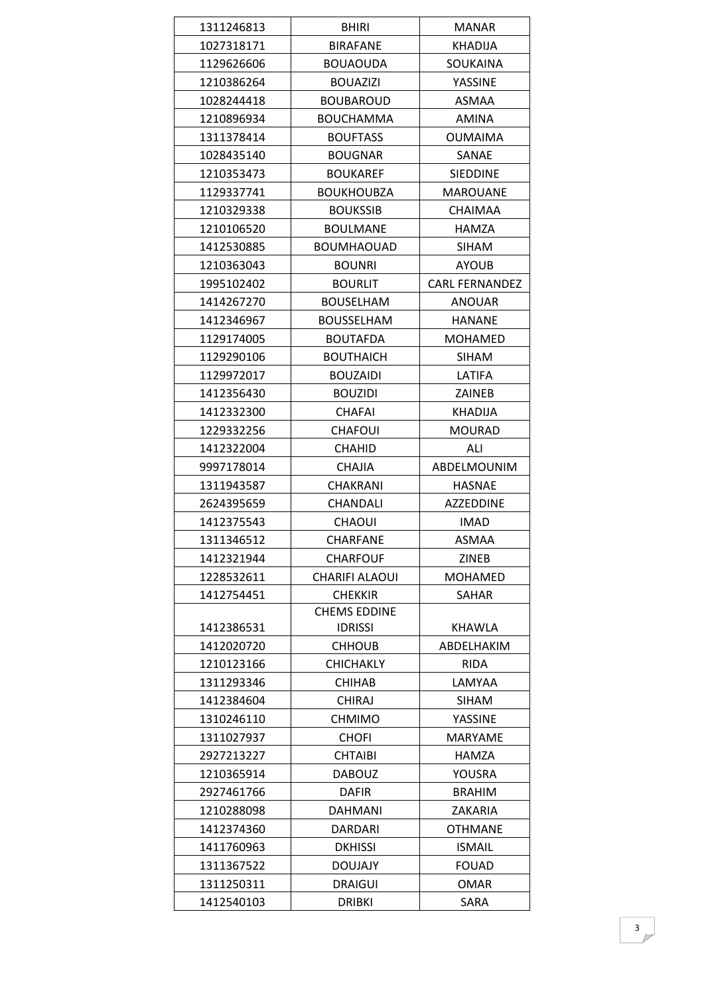| 1311246813 | <b>BHIRI</b>          | <b>MANAR</b>          |
|------------|-----------------------|-----------------------|
| 1027318171 | <b>BIRAFANE</b>       | <b>KHADIJA</b>        |
| 1129626606 | <b>BOUAOUDA</b>       | <b>SOUKAINA</b>       |
| 1210386264 | <b>BOUAZIZI</b>       | <b>YASSINE</b>        |
| 1028244418 | <b>BOUBAROUD</b>      | <b>ASMAA</b>          |
| 1210896934 | <b>BOUCHAMMA</b>      | <b>AMINA</b>          |
| 1311378414 | <b>BOUFTASS</b>       | <b>OUMAIMA</b>        |
| 1028435140 | <b>BOUGNAR</b>        | SANAE                 |
| 1210353473 | <b>BOUKAREF</b>       | <b>SIEDDINE</b>       |
| 1129337741 | <b>BOUKHOUBZA</b>     | <b>MAROUANE</b>       |
| 1210329338 | <b>BOUKSSIB</b>       | <b>CHAIMAA</b>        |
| 1210106520 | <b>BOULMANE</b>       | <b>HAMZA</b>          |
| 1412530885 | BOUMHAOUAD            | <b>SIHAM</b>          |
| 1210363043 | <b>BOUNRI</b>         | <b>AYOUB</b>          |
| 1995102402 | <b>BOURLIT</b>        | <b>CARL FERNANDEZ</b> |
| 1414267270 | <b>BOUSELHAM</b>      | <b>ANOUAR</b>         |
| 1412346967 | <b>BOUSSELHAM</b>     | <b>HANANE</b>         |
| 1129174005 | <b>BOUTAFDA</b>       | <b>MOHAMED</b>        |
| 1129290106 | <b>BOUTHAICH</b>      | SIHAM                 |
| 1129972017 | <b>BOUZAIDI</b>       | LATIFA                |
| 1412356430 | <b>BOUZIDI</b>        | ZAINEB                |
| 1412332300 | <b>CHAFAI</b>         | KHADIJA               |
| 1229332256 | <b>CHAFOUI</b>        | <b>MOURAD</b>         |
| 1412322004 | <b>CHAHID</b>         | ALI                   |
| 9997178014 | <b>CHAJIA</b>         | ABDELMOUNIM           |
| 1311943587 | CHAKRANI              | <b>HASNAE</b>         |
| 2624395659 | <b>CHANDALI</b>       | <b>AZZEDDINE</b>      |
| 1412375543 | <b>CHAOUI</b>         | <b>IMAD</b>           |
| 1311346512 | <b>CHARFANE</b>       | ASMAA                 |
| 1412321944 | <b>CHARFOUF</b>       | ZINEB                 |
| 1228532611 | <b>CHARIFI ALAOUI</b> | <b>MOHAMED</b>        |
| 1412754451 | <b>CHEKKIR</b>        | <b>SAHAR</b>          |
|            | <b>CHEMS EDDINE</b>   |                       |
| 1412386531 | <b>IDRISSI</b>        | <b>KHAWLA</b>         |
| 1412020720 | <b>CHHOUB</b>         | ABDELHAKIM            |
| 1210123166 | <b>CHICHAKLY</b>      | <b>RIDA</b>           |
| 1311293346 | <b>CHIHAB</b>         | LAMYAA                |
| 1412384604 | <b>CHIRAJ</b>         | <b>SIHAM</b>          |
| 1310246110 | <b>CHMIMO</b>         | YASSINE               |
| 1311027937 | <b>CHOFI</b>          | <b>MARYAME</b>        |
| 2927213227 | <b>CHTAIBI</b>        | HAMZA                 |
| 1210365914 | <b>DABOUZ</b>         | YOUSRA                |
| 2927461766 | <b>DAFIR</b>          | <b>BRAHIM</b>         |
| 1210288098 | <b>DAHMANI</b>        | <b>ZAKARIA</b>        |
| 1412374360 | DARDARI               | <b>OTHMANE</b>        |
| 1411760963 | <b>DKHISSI</b>        | <b>ISMAIL</b>         |
| 1311367522 | <b>DOUJAJY</b>        | <b>FOUAD</b>          |
| 1311250311 | <b>DRAIGUI</b>        | OMAR                  |
| 1412540103 | <b>DRIBKI</b>         | SARA                  |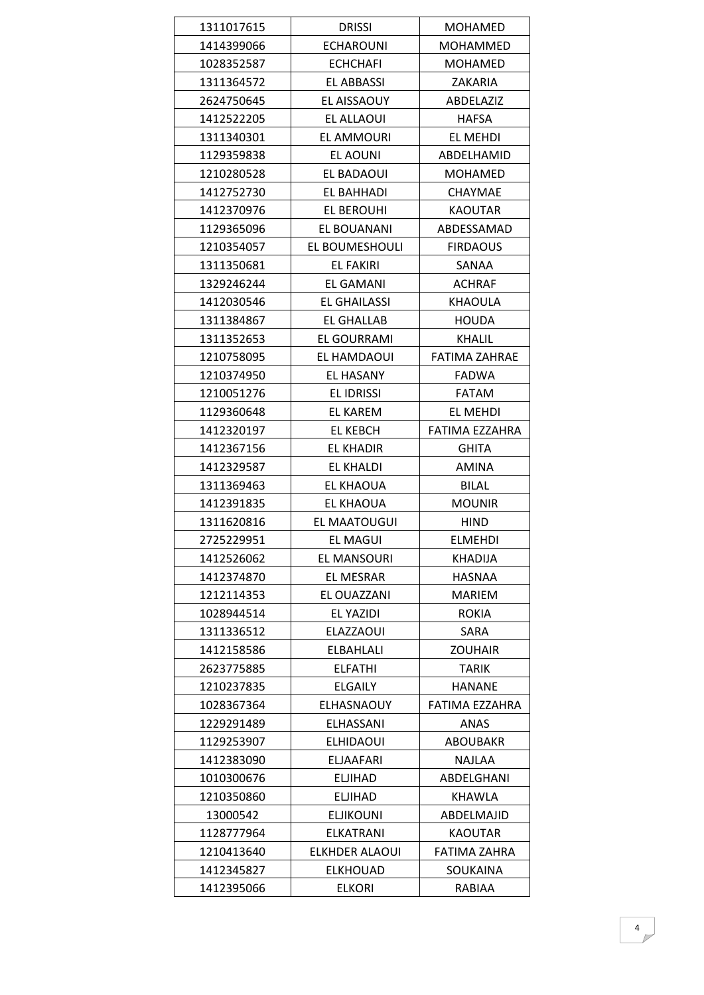| 1311017615 | <b>DRISSI</b>         | <b>MOHAMED</b>       |
|------------|-----------------------|----------------------|
| 1414399066 | <b>ECHAROUNI</b>      | MOHAMMED             |
| 1028352587 | <b>ECHCHAFI</b>       | <b>MOHAMED</b>       |
| 1311364572 | EL ABBASSI            | ZAKARIA              |
| 2624750645 | EL AISSAOUY           | ABDELAZIZ            |
| 1412522205 | EL ALLAOUI            | <b>HAFSA</b>         |
| 1311340301 | EL AMMOURI            | EL MEHDI             |
| 1129359838 | EL AOUNI              | ABDELHAMID           |
| 1210280528 | EL BADAOUI            | MOHAMED              |
| 1412752730 | EL BAHHADI            | CHAYMAE              |
| 1412370976 | <b>EL BEROUHI</b>     | <b>KAOUTAR</b>       |
| 1129365096 | EL BOUANANI           | ABDESSAMAD           |
| 1210354057 | EL BOUMESHOULI        | <b>FIRDAOUS</b>      |
| 1311350681 | <b>EL FAKIRI</b>      | SANAA                |
| 1329246244 | EL GAMANI             | <b>ACHRAF</b>        |
| 1412030546 | EL GHAILASSI          | <b>KHAOULA</b>       |
| 1311384867 | EL GHALLAB            | <b>HOUDA</b>         |
| 1311352653 | EL GOURRAMI           | <b>KHALIL</b>        |
| 1210758095 | EL HAMDAOUI           | <b>FATIMA ZAHRAE</b> |
| 1210374950 | EL HASANY             | <b>FADWA</b>         |
| 1210051276 | <b>EL IDRISSI</b>     | <b>FATAM</b>         |
| 1129360648 | EL KAREM              | EL MEHDI             |
| 1412320197 | <b>EL KEBCH</b>       | FATIMA EZZAHRA       |
| 1412367156 | <b>EL KHADIR</b>      | GHITA                |
| 1412329587 | EL KHALDI             | AMINA                |
| 1311369463 | EL KHAOUA             | <b>BILAL</b>         |
| 1412391835 | EL KHAOUA             | <b>MOUNIR</b>        |
| 1311620816 | EL MAATOUGUI          | <b>HIND</b>          |
| 2725229951 | <b>EL MAGUI</b>       | <b>ELMEHDI</b>       |
| 1412526062 | EL MANSOURI           | KHADIJA              |
| 1412374870 | EL MESRAR             | HASNAA               |
| 1212114353 | EL OUAZZANI           | <b>MARIEM</b>        |
| 1028944514 | EL YAZIDI             | <b>ROKIA</b>         |
| 1311336512 | ELAZZAOUI             | SARA                 |
| 1412158586 | <b>ELBAHLALI</b>      | <b>ZOUHAIR</b>       |
| 2623775885 | <b>ELFATHI</b>        | TARIK                |
| 1210237835 | <b>ELGAILY</b>        | <b>HANANE</b>        |
| 1028367364 | <b>ELHASNAOUY</b>     | FATIMA EZZAHRA       |
| 1229291489 | ELHASSANI             | ANAS                 |
| 1129253907 | <b>ELHIDAOUI</b>      | <b>ABOUBAKR</b>      |
| 1412383090 | <b>ELJAAFARI</b>      | <b>NAJLAA</b>        |
| 1010300676 | <b>ELJIHAD</b>        | ABDELGHANI           |
| 1210350860 | <b>ELJIHAD</b>        | <b>KHAWLA</b>        |
| 13000542   | <b>ELJIKOUNI</b>      | ABDELMAJID           |
| 1128777964 | <b>ELKATRANI</b>      | <b>KAOUTAR</b>       |
| 1210413640 | <b>ELKHDER ALAOUI</b> | <b>FATIMA ZAHRA</b>  |
| 1412345827 | <b>ELKHOUAD</b>       | SOUKAINA             |
|            |                       | RABIAA               |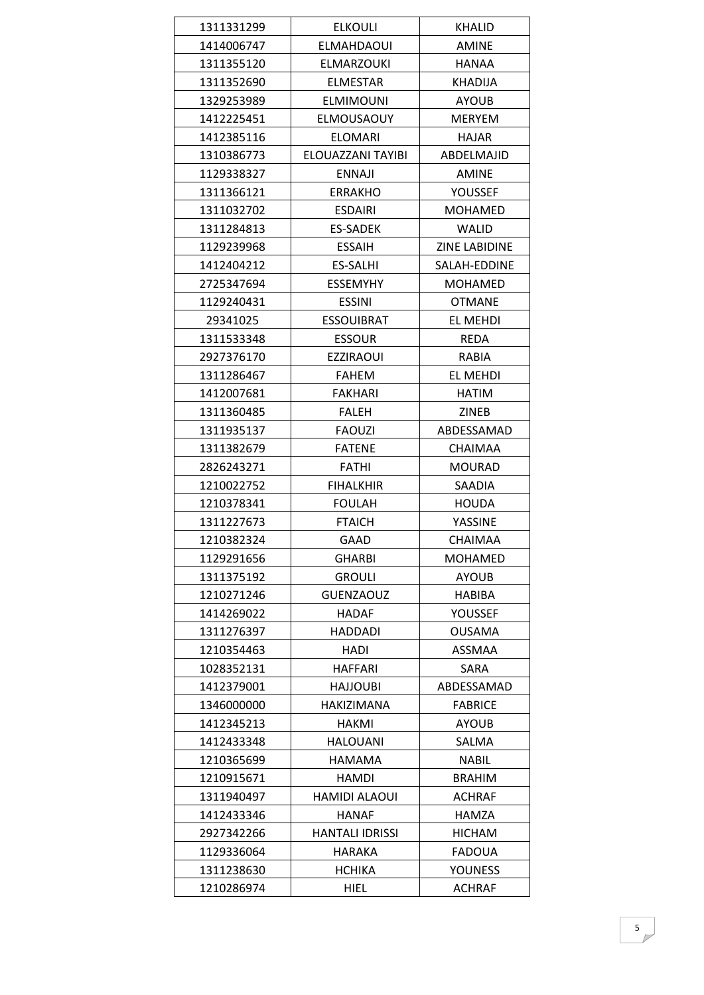| 1311331299 | <b>ELKOULI</b>         | <b>KHALID</b>        |
|------------|------------------------|----------------------|
| 1414006747 | <b>ELMAHDAOUI</b>      | <b>AMINE</b>         |
| 1311355120 | <b>ELMARZOUKI</b>      | <b>HANAA</b>         |
| 1311352690 | <b>ELMESTAR</b>        | KHADIJA              |
| 1329253989 | <b>ELMIMOUNI</b>       | <b>AYOUB</b>         |
| 1412225451 | <b>ELMOUSAOUY</b>      | <b>MERYEM</b>        |
| 1412385116 | <b>ELOMARI</b>         | HAJAR                |
| 1310386773 | ELOUAZZANI TAYIBI      | ABDELMAJID           |
| 1129338327 | <b>ENNAJI</b>          | <b>AMINE</b>         |
| 1311366121 | <b>ERRAKHO</b>         | <b>YOUSSEF</b>       |
| 1311032702 | <b>ESDAIRI</b>         | MOHAMED              |
| 1311284813 | <b>ES-SADEK</b>        | <b>WALID</b>         |
| 1129239968 | <b>ESSAIH</b>          | <b>ZINE LABIDINE</b> |
| 1412404212 | <b>ES-SALHI</b>        | SALAH-EDDINE         |
| 2725347694 | <b>ESSEMYHY</b>        | MOHAMED              |
| 1129240431 | <b>ESSINI</b>          | <b>OTMANE</b>        |
| 29341025   | <b>ESSOUIBRAT</b>      | EL MEHDI             |
| 1311533348 | <b>ESSOUR</b>          | <b>REDA</b>          |
| 2927376170 | <b>EZZIRAOUI</b>       | RABIA                |
| 1311286467 | <b>FAHEM</b>           | EL MEHDI             |
| 1412007681 | <b>FAKHARI</b>         | HATIM                |
| 1311360485 | <b>FALEH</b>           | <b>ZINEB</b>         |
| 1311935137 | <b>FAOUZI</b>          | ABDESSAMAD           |
| 1311382679 | <b>FATENE</b>          | <b>CHAIMAA</b>       |
| 2826243271 | <b>FATHI</b>           | <b>MOURAD</b>        |
| 1210022752 | <b>FIHALKHIR</b>       | SAADIA               |
| 1210378341 | <b>FOULAH</b>          | <b>HOUDA</b>         |
| 1311227673 | <b>FTAICH</b>          | YASSINE              |
| 1210382324 | <b>GAAD</b>            | <b>CHAIMAA</b>       |
| 1129291656 | <b>GHARBI</b>          | MOHAMED              |
| 1311375192 | <b>GROULI</b>          | <b>AYOUB</b>         |
| 1210271246 | <b>GUENZAOUZ</b>       | HABIBA               |
| 1414269022 | <b>HADAF</b>           | YOUSSEF              |
| 1311276397 | <b>HADDADI</b>         | <b>OUSAMA</b>        |
| 1210354463 | HADI                   | <b>ASSMAA</b>        |
| 1028352131 | <b>HAFFARI</b>         | <b>SARA</b>          |
| 1412379001 | HAJJOUBI               | ABDESSAMAD           |
| 1346000000 | HAKIZIMANA             | <b>FABRICE</b>       |
| 1412345213 | <b>HAKMI</b>           | <b>AYOUB</b>         |
| 1412433348 | <b>HALOUANI</b>        | SALMA                |
| 1210365699 | <b>HAMAMA</b>          | <b>NABIL</b>         |
| 1210915671 | <b>HAMDI</b>           | <b>BRAHIM</b>        |
| 1311940497 | HAMIDI ALAOUI          | ACHRAF               |
| 1412433346 | <b>HANAF</b>           | HAMZA                |
| 2927342266 | <b>HANTALI IDRISSI</b> | <b>HICHAM</b>        |
| 1129336064 | HARAKA                 | <b>FADOUA</b>        |
| 1311238630 | <b>HCHIKA</b>          | <b>YOUNESS</b>       |
| 1210286974 | HIEL                   | <b>ACHRAF</b>        |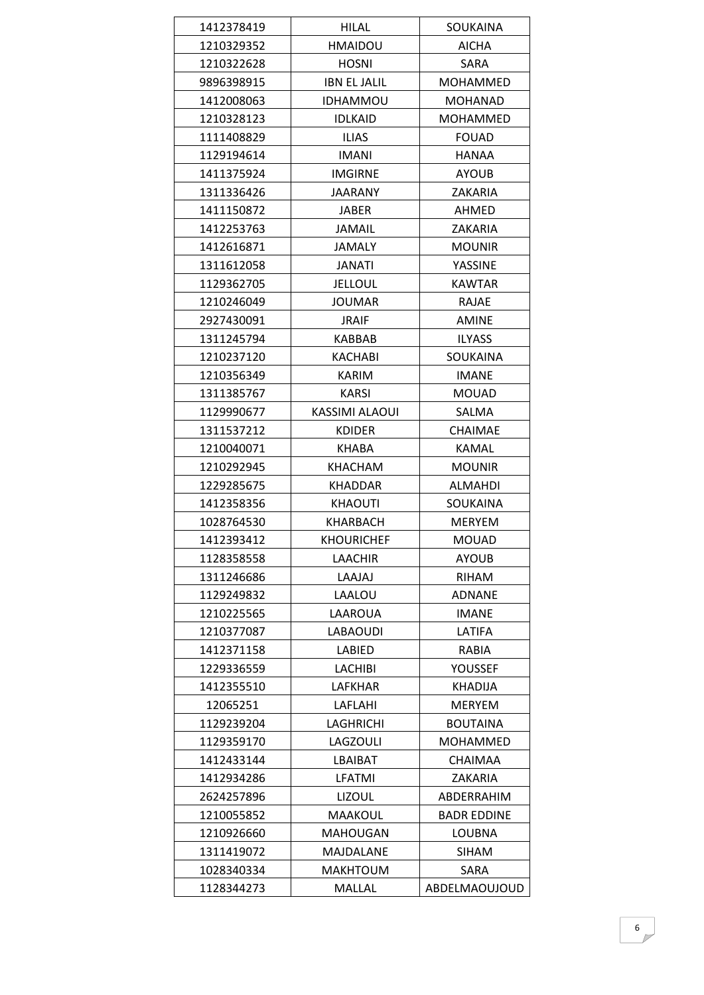| 1412378419 | HILAL               | SOUKAINA           |
|------------|---------------------|--------------------|
| 1210329352 | <b>HMAIDOU</b>      | AICHA              |
| 1210322628 | <b>HOSNI</b>        | <b>SARA</b>        |
| 9896398915 | <b>IBN EL JALIL</b> | MOHAMMED           |
| 1412008063 | IDHAMMOU            | MOHANAD            |
| 1210328123 | <b>IDLKAID</b>      | <b>MOHAMMED</b>    |
| 1111408829 | <b>ILIAS</b>        | <b>FOUAD</b>       |
| 1129194614 | <b>IMANI</b>        | <b>HANAA</b>       |
| 1411375924 | <b>IMGIRNE</b>      | <b>AYOUB</b>       |
| 1311336426 | JAARANY             | ZAKARIA            |
| 1411150872 | JABER               | AHMED              |
| 1412253763 | <b>JAMAIL</b>       | ZAKARIA            |
| 1412616871 | JAMALY              | <b>MOUNIR</b>      |
| 1311612058 | <b>JANATI</b>       | YASSINE            |
| 1129362705 | <b>JELLOUL</b>      | <b>KAWTAR</b>      |
| 1210246049 | JOUMAR              | RAJAE              |
| 2927430091 | <b>JRAIF</b>        | <b>AMINE</b>       |
| 1311245794 | <b>KABBAB</b>       | <b>ILYASS</b>      |
| 1210237120 | KACHABI             | SOUKAINA           |
| 1210356349 | KARIM               | <b>IMANE</b>       |
| 1311385767 | KARSI               | <b>MOUAD</b>       |
| 1129990677 | KASSIMI ALAOUI      | SALMA              |
| 1311537212 | <b>KDIDER</b>       | <b>CHAIMAE</b>     |
| 1210040071 | <b>KHABA</b>        | <b>KAMAL</b>       |
| 1210292945 | KHACHAM             | <b>MOUNIR</b>      |
| 1229285675 | KHADDAR             | <b>ALMAHDI</b>     |
| 1412358356 | KHAOUTI             | SOUKAINA           |
| 1028764530 | KHARBACH            | <b>MERYEM</b>      |
| 1412393412 | <b>KHOURICHEF</b>   | <b>MOUAD</b>       |
| 1128358558 | LAACHIR             | <b>AYOUB</b>       |
| 1311246686 | LAAJAJ              | RIHAM              |
| 1129249832 | LAALOU              | <b>ADNANE</b>      |
| 1210225565 | LAAROUA             | <b>IMANE</b>       |
| 1210377087 | <b>LABAOUDI</b>     | LATIFA             |
| 1412371158 | LABIED              | RABIA              |
| 1229336559 | <b>LACHIBI</b>      | YOUSSEF            |
| 1412355510 | LAFKHAR             | <b>KHADIJA</b>     |
| 12065251   | LAFLAHI             | <b>MERYEM</b>      |
| 1129239204 | <b>LAGHRICHI</b>    | <b>BOUTAINA</b>    |
| 1129359170 | LAGZOULI            | MOHAMMED           |
| 1412433144 | LBAIBAT             | <b>CHAIMAA</b>     |
| 1412934286 | LFATMI              | ZAKARIA            |
| 2624257896 | <b>LIZOUL</b>       | ABDERRAHIM         |
| 1210055852 | <b>MAAKOUL</b>      | <b>BADR EDDINE</b> |
| 1210926660 | <b>MAHOUGAN</b>     | <b>LOUBNA</b>      |
| 1311419072 | MAJDALANE           | SIHAM              |
| 1028340334 | <b>MAKHTOUM</b>     | SARA               |
| 1128344273 | MALLAL              | ABDELMAOUJOUD      |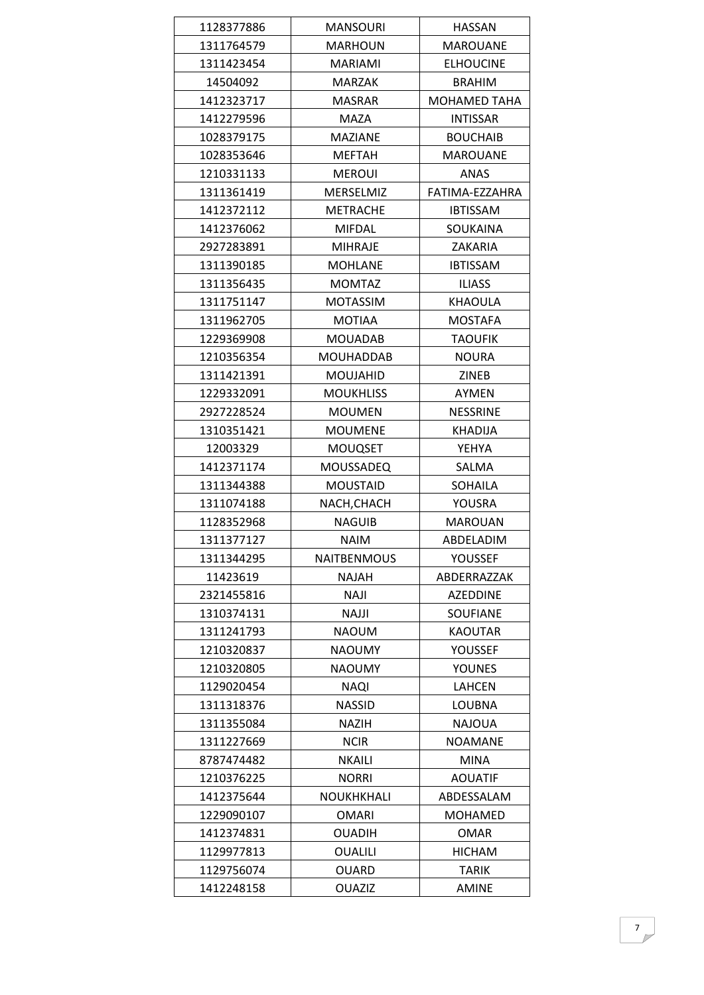| 1128377886 | <b>MANSOURI</b>  | <b>HASSAN</b>       |
|------------|------------------|---------------------|
| 1311764579 | <b>MARHOUN</b>   | <b>MAROUANE</b>     |
| 1311423454 | <b>MARIAMI</b>   | <b>ELHOUCINE</b>    |
| 14504092   | MARZAK           | <b>BRAHIM</b>       |
| 1412323717 | <b>MASRAR</b>    | <b>MOHAMED TAHA</b> |
| 1412279596 | <b>MAZA</b>      | <b>INTISSAR</b>     |
| 1028379175 | <b>MAZIANE</b>   | <b>BOUCHAIB</b>     |
| 1028353646 | <b>MEFTAH</b>    | <b>MAROUANE</b>     |
| 1210331133 | <b>MEROUI</b>    | ANAS                |
| 1311361419 | MERSELMIZ        | FATIMA-EZZAHRA      |
| 1412372112 | <b>METRACHE</b>  | <b>IBTISSAM</b>     |
| 1412376062 | <b>MIFDAL</b>    | SOUKAINA            |
| 2927283891 | <b>MIHRAJE</b>   | ZAKARIA             |
| 1311390185 | <b>MOHLANE</b>   | <b>IBTISSAM</b>     |
| 1311356435 | <b>MOMTAZ</b>    | <b>ILIASS</b>       |
| 1311751147 | <b>MOTASSIM</b>  | <b>KHAOULA</b>      |
| 1311962705 | <b>MOTIAA</b>    | <b>MOSTAFA</b>      |
| 1229369908 | <b>MOUADAB</b>   | <b>TAOUFIK</b>      |
| 1210356354 | <b>MOUHADDAB</b> | <b>NOURA</b>        |
| 1311421391 | <b>MOUJAHID</b>  | ZINEB               |
| 1229332091 | <b>MOUKHLISS</b> | AYMEN               |
| 2927228524 | <b>MOUMEN</b>    | <b>NESSRINE</b>     |
| 1310351421 | <b>MOUMENE</b>   | KHADIJA             |
| 12003329   | <b>MOUQSET</b>   | YEHYA               |
| 1412371174 | <b>MOUSSADEQ</b> | SALMA               |
| 1311344388 | <b>MOUSTAID</b>  | <b>SOHAILA</b>      |
| 1311074188 | NACH, CHACH      | YOUSRA              |
| 1128352968 | NAGUIB           | <b>MAROUAN</b>      |
| 1311377127 | <b>NAIM</b>      | ABDELADIM           |
| 1311344295 | NAITBENMOUS      | YOUSSEF             |
| 11423619   | NAJAH            | ABDERRAZZAK         |
| 2321455816 | <b>NAJI</b>      | <b>AZEDDINE</b>     |
| 1310374131 | <b>NAJJI</b>     | <b>SOUFIANE</b>     |
| 1311241793 | <b>NAOUM</b>     | <b>KAOUTAR</b>      |
| 1210320837 | <b>NAOUMY</b>    | <b>YOUSSEF</b>      |
| 1210320805 | <b>NAOUMY</b>    | <b>YOUNES</b>       |
| 1129020454 | <b>NAQI</b>      | LAHCEN              |
| 1311318376 | <b>NASSID</b>    | LOUBNA              |
| 1311355084 | <b>NAZIH</b>     | <b>NAJOUA</b>       |
| 1311227669 | <b>NCIR</b>      | <b>NOAMANE</b>      |
| 8787474482 | <b>NKAILI</b>    | <b>MINA</b>         |
| 1210376225 | <b>NORRI</b>     | <b>AOUATIF</b>      |
| 1412375644 | NOUKHKHALI       | ABDESSALAM          |
| 1229090107 | <b>OMARI</b>     | MOHAMED             |
| 1412374831 | <b>OUADIH</b>    | OMAR                |
| 1129977813 | <b>OUALILI</b>   | <b>HICHAM</b>       |
| 1129756074 | <b>OUARD</b>     | <b>TARIK</b>        |
| 1412248158 | <b>OUAZIZ</b>    | <b>AMINE</b>        |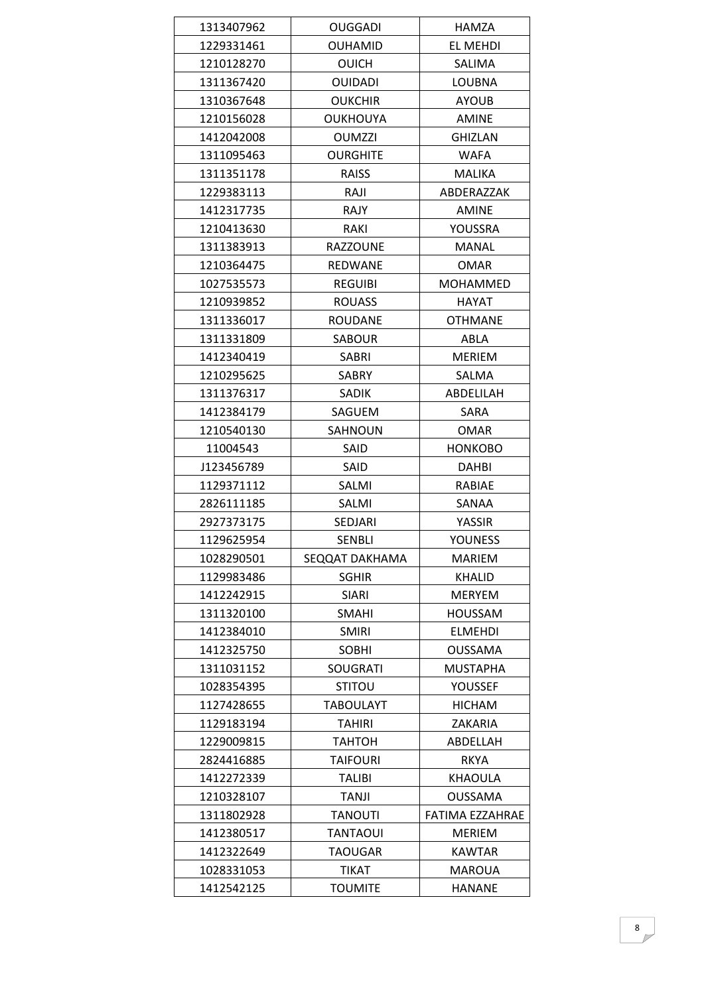| 1313407962 | <b>OUGGADI</b>   | HAMZA           |
|------------|------------------|-----------------|
| 1229331461 | <b>OUHAMID</b>   | EL MEHDI        |
| 1210128270 | <b>OUICH</b>     | SALIMA          |
| 1311367420 | <b>OUIDADI</b>   | LOUBNA          |
| 1310367648 | <b>OUKCHIR</b>   | <b>AYOUB</b>    |
| 1210156028 | <b>OUKHOUYA</b>  | <b>AMINE</b>    |
| 1412042008 | <b>OUMZZI</b>    | <b>GHIZLAN</b>  |
| 1311095463 | <b>OURGHITE</b>  | <b>WAFA</b>     |
| 1311351178 | RAISS            | MALIKA          |
| 1229383113 | RAJI             | ABDERAZZAK      |
| 1412317735 | RAJY             | <b>AMINE</b>    |
| 1210413630 | RAKI             | YOUSSRA         |
| 1311383913 | <b>RAZZOUNE</b>  | <b>MANAL</b>    |
| 1210364475 | REDWANE          | <b>OMAR</b>     |
| 1027535573 | <b>REGUIBI</b>   | MOHAMMED        |
| 1210939852 | <b>ROUASS</b>    | HAYAT           |
| 1311336017 | <b>ROUDANE</b>   | <b>OTHMANE</b>  |
| 1311331809 | SABOUR           | ABLA            |
| 1412340419 | SABRI            | <b>MERIEM</b>   |
| 1210295625 | <b>SABRY</b>     | SALMA           |
| 1311376317 | SADIK            | ABDELILAH       |
| 1412384179 | SAGUEM           | SARA            |
| 1210540130 | SAHNOUN          | OMAR            |
| 11004543   | SAID             | <b>HONKOBO</b>  |
| J123456789 | SAID             | DAHBI           |
| 1129371112 | SALMI            | RABIAE          |
| 2826111185 | SALMI            | SANAA           |
| 2927373175 | SEDJARI          | YASSIR          |
| 1129625954 | <b>SENBLI</b>    | <b>YOUNESS</b>  |
| 1028290501 | SEQQAT DAKHAMA   | <b>MARIEM</b>   |
| 1129983486 | <b>SGHIR</b>     | <b>KHALID</b>   |
| 1412242915 | <b>SIARI</b>     | <b>MERYEM</b>   |
| 1311320100 | <b>SMAHI</b>     | <b>HOUSSAM</b>  |
| 1412384010 | <b>SMIRI</b>     | <b>ELMEHDI</b>  |
| 1412325750 | <b>SOBHI</b>     | <b>OUSSAMA</b>  |
| 1311031152 | <b>SOUGRATI</b>  | <b>MUSTAPHA</b> |
| 1028354395 | <b>STITOU</b>    | YOUSSEF         |
| 1127428655 | <b>TABOULAYT</b> | <b>HICHAM</b>   |
| 1129183194 | <b>TAHIRI</b>    | <b>ZAKARIA</b>  |
| 1229009815 | ТАНТОН           | ABDELLAH        |
| 2824416885 | <b>TAIFOURI</b>  | <b>RKYA</b>     |
| 1412272339 | <b>TALIBI</b>    | <b>KHAOULA</b>  |
| 1210328107 | <b>TANJI</b>     | OUSSAMA         |
| 1311802928 | <b>TANOUTI</b>   | FATIMA EZZAHRAE |
| 1412380517 | <b>TANTAOUI</b>  | <b>MERIEM</b>   |
| 1412322649 | <b>TAOUGAR</b>   | <b>KAWTAR</b>   |
| 1028331053 | <b>TIKAT</b>     | <b>MAROUA</b>   |
| 1412542125 | <b>TOUMITE</b>   | <b>HANANE</b>   |